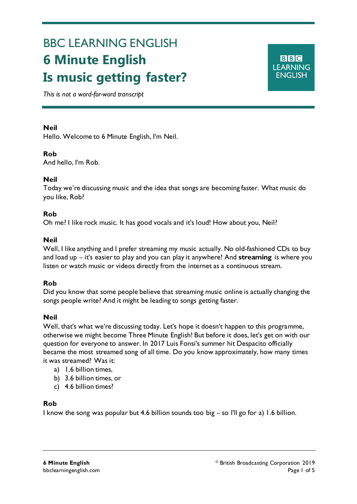# BBC LEARNING ENGLISH **6 Minute English Is music getting faster?**

**BBC LEARNING ENGLISH** 

*This is not a word-for-word transcript*

## **Neil**

Ξ

Hello. Welcome to 6 Minute English, I'm Neil.

# **Rob**

And hello, I'm Rob.

## **Neil**

Today we're discussing music and the idea that songs are becoming faster. What music do you like, Rob?

## **Rob**

Oh me? I like rock music. It has good vocals and it's loud! How about you, Neil?

## **Neil**

Well, I like anything and I prefer streaming my music actually. No old-fashioned CDs to buy and load up – it's easier to play and you can play it anywhere! And **streaming** is where you listen or watch music or videos directly from the internet as a continuous stream.

# **Rob**

Did you know that some people believe that streaming music online is actually changing the songs people write? And it might be leading to songs getting faster.

# **Neil**

Well, that's what we're discussing today. Let's hope it doesn't happen to this programme, otherwise we might become Three Minute English! But before it does, let's get on with our question for everyone to answer. In 2017 Luis Fonsi's summer hit Despacito officially became the most streamed song of all time. Do you know approximately, how many times it was streamed? Was it:

- a) 1.6 billion times,
- b) 3.6 billion times, or
- c) 4.6 billion times?

## **Rob**

I know the song was popular but 4.6 billion sounds too big – so I'll go for a) 1.6 billion.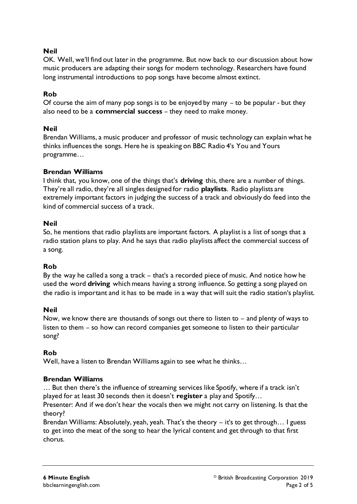## **Neil**

OK. Well, we'll find out later in the programme. But now back to our discussion about how music producers are adapting their songs for modern technology. Researchers have found long instrumental introductions to pop songs have become almost extinct.

# **Rob**

Of course the aim of many pop songs is to be enjoyed by many – to be popular - but they also need to be a **commercial success** – they need to make money.

## **Neil**

Brendan Williams, a music producer and professor of music technology can explain what he thinks influences the songs. Here he is speaking on BBC Radio 4's You and Yours programme…

## **Brendan Williams**

I think that, you know, one of the things that's **driving** this, there are a number of things. They're all radio, they're all singles designed for radio **playlists**. Radio playlists are extremely important factors in judging the success of a track and obviously do feed into the kind of commercial success of a track.

## **Neil**

So, he mentions that radio playlists are important factors. A playlist is a list of songs that a radio station plans to play. And he says that radio playlists affect the commercial success of a song.

## **Rob**

By the way he called a song a track – that's a recorded piece of music. And notice how he used the word **driving** which means having a strong influence. So getting a song played on the radio is important and it has to be made in a way that will suit the radio station's playlist.

## **Neil**

Now, we know there are thousands of songs out there to listen to – and plenty of ways to listen to them – so how can record companies get someone to listen to their particular song?

# **Rob**

Well, have a listen to Brendan Williams again to see what he thinks…

# **Brendan Williams**

… But then there's the influence of streaming services like Spotify, where if a track isn't played for at least 30 seconds then it doesn't **register** a play and Spotify…

Presenter: And if we don't hear the vocals then we might not carry on listening. Is that the theory?

Brendan Williams: Absolutely, yeah, yeah. That's the theory – it's to get through… I guess to get into the meat of the song to hear the lyrical content and get through to that first chorus.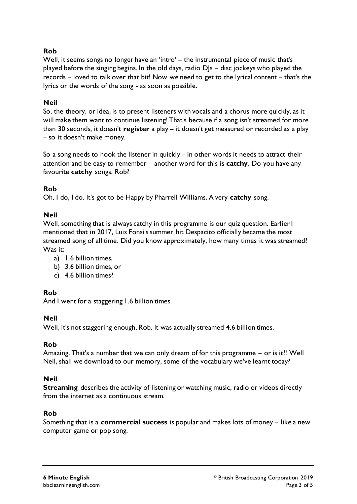## **Rob**

Well, it seems songs no longer have an 'intro' – the instrumental piece of music that's played before the singing begins. In the old days, radio DJs – disc jockeys who played the records – loved to talk over that bit! Now we need to get to the lyrical content – that's the lyrics or the words of the song - as soon as possible.

## **Neil**

So, the theory, or idea, is to present listeners with vocals and a chorus more quickly, as it will make them want to continue listening! That's because if a song isn't streamed for more than 30 seconds, it doesn't **register** a play – it doesn't get measured or recorded as a play – so it doesn't make money.

So a song needs to hook the listener in quickly – in other words it needs to attract their attention and be easy to remember – another word for this is **catchy**. Do you have any favourite **catchy** songs, Rob?

#### **Rob**

Oh, I do, I do. It's got to be Happy by Pharrell Williams. A very **catchy** song.

## **Neil**

Well, something that is always catchy in this programme is our quiz question. Earlier I mentioned that in 2017, Luis Fonsi's summer hit Despacito officially became the most streamed song of all time. Did you know approximately, how many times it was streamed? Was it:

- a) 1.6 billion times,
- b) 3.6 billion times, or
- c) 4.6 billion times?

## **Rob**

And I went for a staggering 1.6 billion times.

#### **Neil**

Well, it's not staggering enough, Rob. It was actually streamed 4.6 billion times.

#### **Rob**

Amazing. That's a number that we can only dream of for this programme – or is it?! Well Neil, shall we download to our memory, some of the vocabulary we've learnt today?

#### **Neil**

**Streaming** describes the activity of listening or watching music, radio or videos directly from the internet as a continuous stream.

#### **Rob**

Something that is a **commercial success** is popular and makes lots of money – like a new computer game or pop song.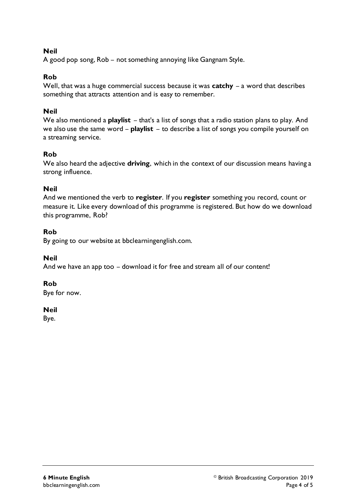## **Neil**

A good pop song, Rob – not something annoying like Gangnam Style.

## **Rob**

Well, that was a huge commercial success because it was **catchy** – a word that describes something that attracts attention and is easy to remember.

## **Neil**

We also mentioned a **playlist** – that's a list of songs that a radio station plans to play. And we also use the same word – **playlist** – to describe a list of songs you compile yourself on a streaming service.

# **Rob**

We also heard the adjective **driving**, which in the context of our discussion means having a strong influence.

## **Neil**

And we mentioned the verb to **register**. If you **register** something you record, count or measure it. Like every download of this programme is registered. But how do we download this programme, Rob?

# **Rob**

By going to our website at bbclearningenglish.com.

## **Neil**

And we have an app too – download it for free and stream all of our content!

## **Rob**

Bye for now.

## **Neil**

Bye.